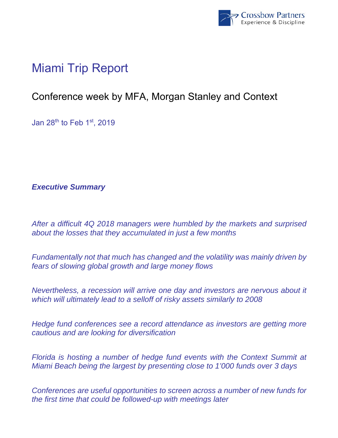

# Miami Trip Report

## Conference week by MFA, Morgan Stanley and Context

Jan 28th to Feb 1st, 2019

*Executive Summary* 

*After a difficult 4Q 2018 managers were humbled by the markets and surprised about the losses that they accumulated in just a few months* 

*Fundamentally not that much has changed and the volatility was mainly driven by fears of slowing global growth and large money flows* 

*Nevertheless, a recession will arrive one day and investors are nervous about it which will ultimately lead to a selloff of risky assets similarly to 2008* 

*Hedge fund conferences see a record attendance as investors are getting more cautious and are looking for diversification* 

*Florida is hosting a number of hedge fund events with the Context Summit at Miami Beach being the largest by presenting close to 1'000 funds over 3 days* 

*Conferences are useful opportunities to screen across a number of new funds for the first time that could be followed-up with meetings later*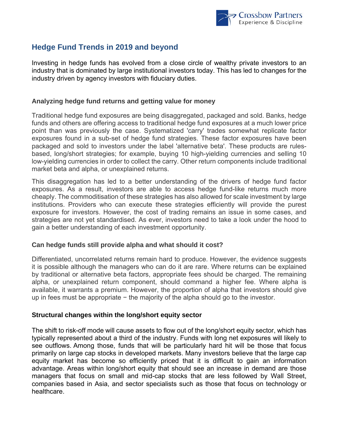

### **Hedge Fund Trends in 2019 and beyond**

Investing in hedge funds has evolved from a close circle of wealthy private investors to an industry that is dominated by large institutional investors today. This has led to changes for the industry driven by agency investors with fiduciary duties.

#### **Analyzing hedge fund returns and getting value for money**

Traditional hedge fund exposures are being disaggregated, packaged and sold. Banks, hedge funds and others are offering access to traditional hedge fund exposures at a much lower price point than was previously the case. Systematized 'carry' trades somewhat replicate factor exposures found in a sub-set of hedge fund strategies. These factor exposures have been packaged and sold to investors under the label 'alternative beta'. These products are rulesbased, long/short strategies; for example, buying 10 high-yielding currencies and selling 10 low-yielding currencies in order to collect the carry. Other return components include traditional market beta and alpha, or unexplained returns.

This disaggregation has led to a better understanding of the drivers of hedge fund factor exposures. As a result, investors are able to access hedge fund-like returns much more cheaply. The commoditisation of these strategies has also allowed for scale investment by large institutions. Providers who can execute these strategies efficiently will provide the purest exposure for investors. However, the cost of trading remains an issue in some cases, and strategies are not yet standardised. As ever, investors need to take a look under the hood to gain a better understanding of each investment opportunity.

#### **Can hedge funds still provide alpha and what should it cost?**

Differentiated, uncorrelated returns remain hard to produce. However, the evidence suggests it is possible although the managers who can do it are rare. Where returns can be explained by traditional or alternative beta factors, appropriate fees should be charged. The remaining alpha, or unexplained return component, should command a higher fee. Where alpha is available, it warrants a premium. However, the proportion of alpha that investors should give up in fees must be appropriate − the majority of the alpha should go to the investor.

#### **Structural changes within the long/short equity sector**

The shift to risk-off mode will cause assets to flow out of the long/short equity sector, which has typically represented about a third of the industry. Funds with long net exposures will likely to see outflows. Among those, funds that will be particularly hard hit will be those that focus primarily on large cap stocks in developed markets. Many investors believe that the large cap equity market has become so efficiently priced that it is difficult to gain an information advantage. Areas within long/short equity that should see an increase in demand are those managers that focus on small and mid-cap stocks that are less followed by Wall Street, companies based in Asia, and sector specialists such as those that focus on technology or healthcare.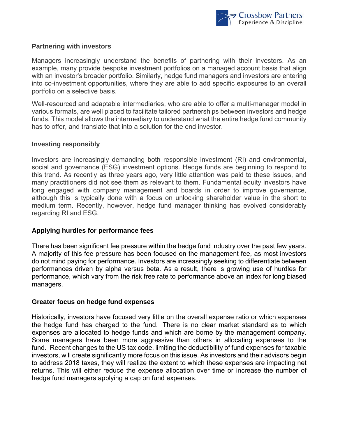

#### **Partnering with investors**

Managers increasingly understand the benefits of partnering with their investors. As an example, many provide bespoke investment portfolios on a managed account basis that align with an investor's broader portfolio. Similarly, hedge fund managers and investors are entering into co-investment opportunities, where they are able to add specific exposures to an overall portfolio on a selective basis.

Well-resourced and adaptable intermediaries, who are able to offer a multi-manager model in various formats, are well placed to facilitate tailored partnerships between investors and hedge funds. This model allows the intermediary to understand what the entire hedge fund community has to offer, and translate that into a solution for the end investor.

#### **Investing responsibly**

Investors are increasingly demanding both responsible investment (RI) and environmental, social and governance (ESG) investment options. Hedge funds are beginning to respond to this trend. As recently as three years ago, very little attention was paid to these issues, and many practitioners did not see them as relevant to them. Fundamental equity investors have long engaged with company management and boards in order to improve governance, although this is typically done with a focus on unlocking shareholder value in the short to medium term. Recently, however, hedge fund manager thinking has evolved considerably regarding RI and ESG.

#### **Applying hurdles for performance fees**

There has been significant fee pressure within the hedge fund industry over the past few years. A majority of this fee pressure has been focused on the management fee, as most investors do not mind paying for performance. Investors are increasingly seeking to differentiate between performances driven by alpha versus beta. As a result, there is growing use of hurdles for performance, which vary from the risk free rate to performance above an index for long biased managers.

#### **Greater focus on hedge fund expenses**

Historically, investors have focused very little on the overall expense ratio or which expenses the hedge fund has charged to the fund. There is no clear market standard as to which expenses are allocated to hedge funds and which are borne by the management company. Some managers have been more aggressive than others in allocating expenses to the fund. Recent changes to the US tax code, limiting the deductibility of fund expenses for taxable investors, will create significantly more focus on this issue. As investors and their advisors begin to address 2018 taxes, they will realize the extent to which these expenses are impacting net returns. This will either reduce the expense allocation over time or increase the number of hedge fund managers applying a cap on fund expenses.